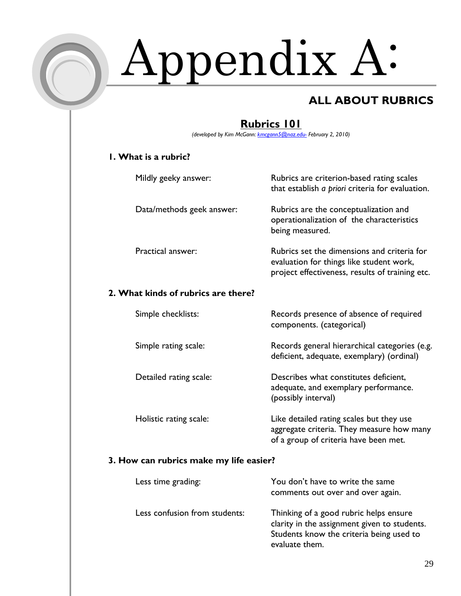

# Appendix A:

## **ALL ABOUT RUBRICS**

that establish *a priori* criteria for evaluation.

operationalization of the characteristics

evaluation for things like student work, project effectiveness, results of training etc.

being measured.

components. (categorical)

(possibly interval)

## **Rubrics 101**

*(developed by Kim McGann: kmcgann5@naz.edu- February 2, 2010)* 

#### **1. What is a rubric?**

Mildly geeky answer: Rubrics are criterion-based rating scales

Data/methods geek answer: Rubrics are the conceptualization and

Practical answer: The Rubrics set the dimensions and criteria for

#### **2. What kinds of rubrics are there?**

Simple checklists: Records presence of absence of required

Simple rating scale: Records general hierarchical categories (e.g.

Detailed rating scale: Describes what constitutes deficient,

Holistic rating scale: Like detailed rating scales but they use aggregate criteria. They measure how many of a group of criteria have been met.

deficient, adequate, exemplary) (ordinal)

adequate, and exemplary performance.

#### **3. How can rubrics make my life easier?**

| Less time grading:            | You don't have to write the same<br>comments out over and over again.                                                                                |
|-------------------------------|------------------------------------------------------------------------------------------------------------------------------------------------------|
| Less confusion from students: | Thinking of a good rubric helps ensure<br>clarity in the assignment given to students.<br>Students know the criteria being used to<br>evaluate them. |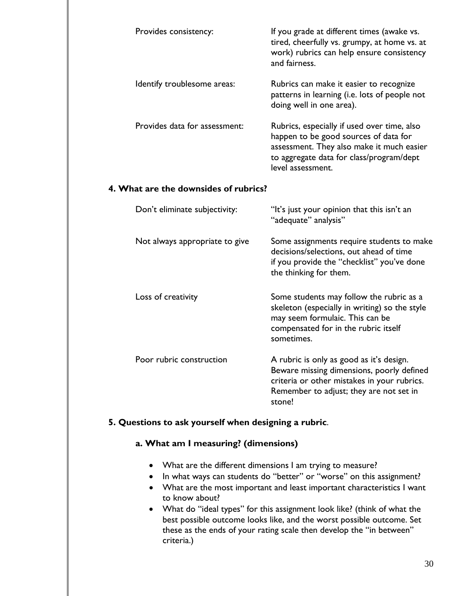| Provides consistency:         | If you grade at different times (awake vs.<br>tired, cheerfully vs. grumpy, at home vs. at<br>work) rubrics can help ensure consistency<br>and fairness.                                           |
|-------------------------------|----------------------------------------------------------------------------------------------------------------------------------------------------------------------------------------------------|
| Identify troublesome areas:   | Rubrics can make it easier to recognize<br>patterns in learning (i.e. lots of people not<br>doing well in one area).                                                                               |
| Provides data for assessment: | Rubrics, especially if used over time, also<br>happen to be good sources of data for<br>assessment. They also make it much easier<br>to aggregate data for class/program/dept<br>level assessment. |

#### **4. What are the downsides of rubrics?**

| Don't eliminate subjectivity:  | "It's just your opinion that this isn't an<br>"adequate" analysis"                                                                                                                        |
|--------------------------------|-------------------------------------------------------------------------------------------------------------------------------------------------------------------------------------------|
| Not always appropriate to give | Some assignments require students to make<br>decisions/selections, out ahead of time<br>if you provide the "checklist" you've done<br>the thinking for them.                              |
| Loss of creativity             | Some students may follow the rubric as a<br>skeleton (especially in writing) so the style<br>may seem formulaic. This can be<br>compensated for in the rubric itself<br>sometimes.        |
| Poor rubric construction       | A rubric is only as good as it's design.<br>Beware missing dimensions, poorly defined<br>criteria or other mistakes in your rubrics.<br>Remember to adjust; they are not set in<br>stone! |

#### **5. Questions to ask yourself when designing a rubric**.

#### **a. What am I measuring? (dimensions)**

- What are the different dimensions I am trying to measure?
- In what ways can students do "better" or "worse" on this assignment?
- What are the most important and least important characteristics I want to know about?
- What do "ideal types" for this assignment look like? (think of what the best possible outcome looks like, and the worst possible outcome. Set these as the ends of your rating scale then develop the "in between" criteria.)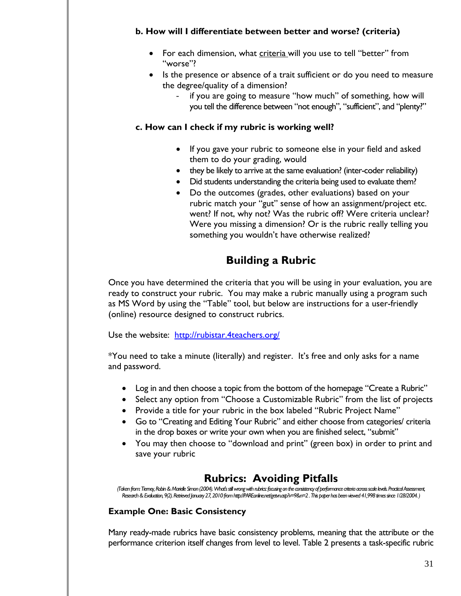#### **b. How will I differentiate between better and worse? (criteria)**

- For each dimension, what criteria will you use to tell "better" from "worse"?
- Is the presence or absence of a trait sufficient or do you need to measure the degree/quality of a dimension?
	- if you are going to measure "how much" of something, how will you tell the difference between "not enough", "sufficient", and "plenty?"

#### **c. How can I check if my rubric is working well?**

- If you gave your rubric to someone else in your field and asked them to do your grading, would
- they be likely to arrive at the same evaluation? (inter-coder reliability)
- Did students understanding the criteria being used to evaluate them?
- Do the outcomes (grades, other evaluations) based on your rubric match your "gut" sense of how an assignment/project etc. went? If not, why not? Was the rubric off? Were criteria unclear? Were you missing a dimension? Or is the rubric really telling you something you wouldn't have otherwise realized?

## **Building a Rubric**

Once you have determined the criteria that you will be using in your evaluation, you are ready to construct your rubric. You may make a rubric manually using a program such as MS Word by using the "Table" tool, but below are instructions for a user-friendly (online) resource designed to construct rubrics.

Use the website: http://rubistar.4teachers.org/

\*You need to take a minute (literally) and register. It's free and only asks for a name and password.

- Log in and then choose a topic from the bottom of the homepage "Create a Rubric"
- Select any option from "Choose a Customizable Rubric" from the list of projects
- Provide a title for your rubric in the box labeled "Rubric Project Name"
- Go to "Creating and Editing Your Rubric" and either choose from categories/ criteria in the drop boxes or write your own when you are finished select, "submit"
- You may then choose to "download and print" (green box) in order to print and save your rubric

## **Rubrics: Avoiding Pitfalls**

*(Taken from: Tierney, Robin & Marielle Simon (2004). What's still wrong with rubrics: focusing on the consistency of performance criteria across scale levels. Practical Assessment, Research & Evaluation, 9(2). Retrieved January 27, 2010 from http://PAREonline.net/getvn.asp?v=9&n=2 . This paper has been viewed 41,998 times since 1/28/2004. )* 

#### **Example One: Basic Consistency**

Many ready-made rubrics have basic consistency problems, meaning that the attribute or the performance criterion itself changes from level to level. Table 2 presents a task-specific rubric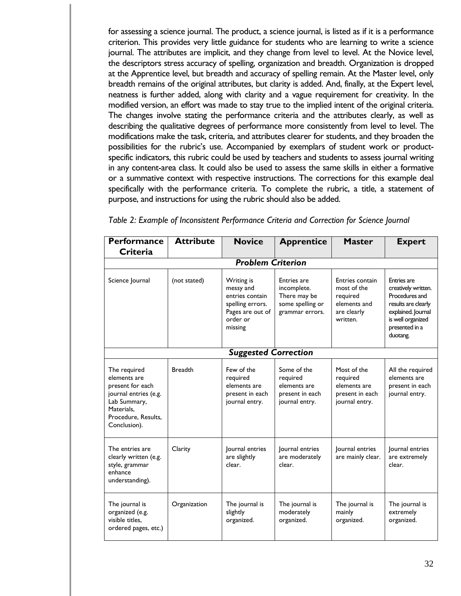for assessing a science journal. The product, a science journal, is listed as if it is a performance criterion. This provides very little guidance for students who are learning to write a science journal. The attributes are implicit, and they change from level to level. At the Novice level, the descriptors stress accuracy of spelling, organization and breadth. Organization is dropped at the Apprentice level, but breadth and accuracy of spelling remain. At the Master level, only breadth remains of the original attributes, but clarity is added. And, finally, at the Expert level, neatness is further added, along with clarity and a vague requirement for creativity. In the modified version, an effort was made to stay true to the implied intent of the original criteria. The changes involve stating the performance criteria and the attributes clearly, as well as describing the qualitative degrees of performance more consistently from level to level. The modifications make the task, criteria, and attributes clearer for students, and they broaden the possibilities for the rubric's use. Accompanied by exemplars of student work or productspecific indicators, this rubric could be used by teachers and students to assess journal writing in any content-area class. It could also be used to assess the same skills in either a formative or a summative context with respective instructions. The corrections for this example deal specifically with the performance criteria. To complete the rubric, a title, a statement of purpose, and instructions for using the rubric should also be added.

| <b>Performance</b>                                                                                                                             | <b>Attribute</b> | <b>Novice</b>                                                                                             | <b>Apprentice</b>                                                                        | <b>Master</b>                                                                         | <b>Expert</b>                                                                                                                                        |
|------------------------------------------------------------------------------------------------------------------------------------------------|------------------|-----------------------------------------------------------------------------------------------------------|------------------------------------------------------------------------------------------|---------------------------------------------------------------------------------------|------------------------------------------------------------------------------------------------------------------------------------------------------|
| Criteria                                                                                                                                       |                  |                                                                                                           |                                                                                          |                                                                                       |                                                                                                                                                      |
|                                                                                                                                                |                  | <b>Problem Criterion</b>                                                                                  |                                                                                          |                                                                                       |                                                                                                                                                      |
| Science Journal                                                                                                                                | (not stated)     | Writing is<br>messy and<br>entries contain<br>spelling errors.<br>Pages are out of<br>order or<br>missing | <b>Entries are</b><br>incomplete.<br>There may be<br>some spelling or<br>grammar errors. | Entries contain<br>most of the<br>required<br>elements and<br>are clearly<br>written. | Entries are<br>creatively written.<br>Procedures and<br>results are clearly<br>explained. Journal<br>is well organized<br>presented in a<br>duotang. |
|                                                                                                                                                |                  | <b>Suggested Correction</b>                                                                               |                                                                                          |                                                                                       |                                                                                                                                                      |
| The required<br>elements are<br>present for each<br>journal entries (e.g.<br>Lab Summary,<br>Materials.<br>Procedure, Results,<br>Conclusion). | <b>Breadth</b>   | Few of the<br>required<br>elements are<br>present in each<br>journal entry.                               | Some of the<br>required<br>elements are<br>present in each<br>journal entry.             | Most of the<br>required<br>elements are<br>present in each<br>journal entry.          | All the required<br>elements are<br>present in each<br>journal entry.                                                                                |
| The entries are<br>clearly written (e.g.<br>style, grammar<br>enhance<br>understanding).                                                       | Clarity          | Journal entries<br>are slightly<br>clear.                                                                 | Journal entries<br>are moderately<br>clear.                                              | Journal entries<br>are mainly clear.                                                  | Journal entries<br>are extremely<br>clear.                                                                                                           |
| The journal is<br>organized (e.g.<br>visible titles.<br>ordered pages, etc.)                                                                   | Organization     | The journal is<br>slightly<br>organized.                                                                  | The journal is<br>moderately<br>organized.                                               | The journal is<br>mainly<br>organized.                                                | The journal is<br>extremely<br>organized.                                                                                                            |

*Table 2: Example of Inconsistent Performance Criteria and Correction for Science Journal*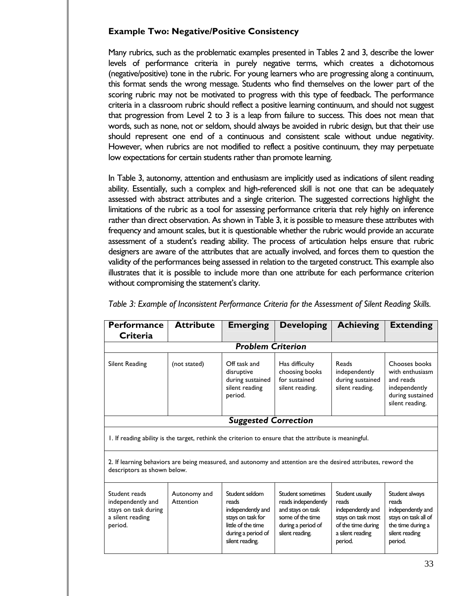#### **Example Two: Negative/Positive Consistency**

Many rubrics, such as the problematic examples presented in Tables 2 and 3, describe the lower levels of performance criteria in purely negative terms, which creates a dichotomous (negative/positive) tone in the rubric. For young learners who are progressing along a continuum, this format sends the wrong message. Students who find themselves on the lower part of the scoring rubric may not be motivated to progress with this type of feedback. The performance criteria in a classroom rubric should reflect a positive learning continuum, and should not suggest that progression from Level 2 to 3 is a leap from failure to success. This does not mean that words, such as none, not or seldom, should always be avoided in rubric design, but that their use should represent one end of a continuous and consistent scale without undue negativity. However, when rubrics are not modified to reflect a positive continuum, they may perpetuate low expectations for certain students rather than promote learning.

In Table 3, autonomy, attention and enthusiasm are implicitly used as indications of silent reading ability. Essentially, such a complex and high-referenced skill is not one that can be adequately assessed with abstract attributes and a single criterion. The suggested corrections highlight the limitations of the rubric as a tool for assessing performance criteria that rely highly on inference rather than direct observation. As shown in Table 3, it is possible to measure these attributes with frequency and amount scales, but it is questionable whether the rubric would provide an accurate assessment of a student's reading ability. The process of articulation helps ensure that rubric designers are aware of the attributes that are actually involved, and forces them to question the validity of the performances being assessed in relation to the targeted construct. This example also illustrates that it is possible to include more than one attribute for each performance criterion without compromising the statement's clarity.

| <b>Performance</b><br><b>Criteria</b>                                                     | <b>Attribute</b>                                                                                                                              | <b>Emerging</b>                                                                                                                  | <b>Developing</b>                                                                                                          | <b>Achieving</b>                                                                                                         | <b>Extending</b>                                                                                                       |
|-------------------------------------------------------------------------------------------|-----------------------------------------------------------------------------------------------------------------------------------------------|----------------------------------------------------------------------------------------------------------------------------------|----------------------------------------------------------------------------------------------------------------------------|--------------------------------------------------------------------------------------------------------------------------|------------------------------------------------------------------------------------------------------------------------|
|                                                                                           |                                                                                                                                               | <b>Problem Criterion</b>                                                                                                         |                                                                                                                            |                                                                                                                          |                                                                                                                        |
| Silent Reading                                                                            | (not stated)                                                                                                                                  | Off task and<br>disruptive<br>during sustained<br>silent reading<br>period.                                                      | Has difficulty<br>choosing books<br>for sustained<br>silent reading.                                                       | Reads<br>independently<br>during sustained<br>silent reading.                                                            | Chooses books<br>with enthusiasm<br>and reads<br>independently<br>during sustained<br>silent reading.                  |
|                                                                                           |                                                                                                                                               | <b>Suggested Correction</b>                                                                                                      |                                                                                                                            |                                                                                                                          |                                                                                                                        |
|                                                                                           | I. If reading ability is the target, rethink the criterion to ensure that the attribute is meaningful.                                        |                                                                                                                                  |                                                                                                                            |                                                                                                                          |                                                                                                                        |
|                                                                                           | 2. If learning behaviors are being measured, and autonomy and attention are the desired attributes, reword the<br>descriptors as shown below. |                                                                                                                                  |                                                                                                                            |                                                                                                                          |                                                                                                                        |
| Student reads<br>independently and<br>stays on task during<br>a silent reading<br>period. | Autonomy and<br>Attention                                                                                                                     | Student seldom<br>reads<br>independently and<br>stays on task for<br>little of the time<br>during a period of<br>silent reading. | Student sometimes<br>reads independently<br>and stays on task<br>some of the time<br>during a period of<br>silent reading. | Student usually<br>reads<br>independently and<br>stays on task most<br>of the time during<br>a silent reading<br>period. | Student always<br>reads<br>independently and<br>stays on task all of<br>the time during a<br>silent reading<br>period. |

*Table 3: Example of Inconsistent Performance Criteria for the Assessment of Silent Reading Skills.*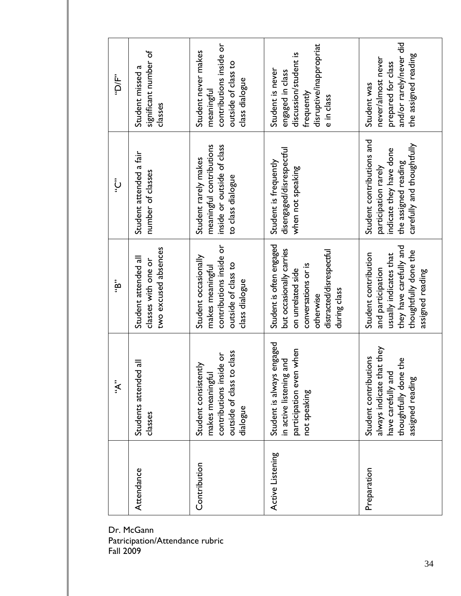| "D/F"        | significant number of<br>Student missed a<br>classes                | contributions inside or<br>Student never makes<br>outside of class to<br>class dialogue<br>meaningful           | disruptive/inappropriat<br>discussion/student is<br>Student is never<br>engaged in class<br>frequently<br>e in class                                      | and/or rarely/never did<br>the assigned reading<br>never/almost never<br>prepared for class<br>Student was                                  |
|--------------|---------------------------------------------------------------------|-----------------------------------------------------------------------------------------------------------------|-----------------------------------------------------------------------------------------------------------------------------------------------------------|---------------------------------------------------------------------------------------------------------------------------------------------|
| ڹٛٙ          | Student attended a fair<br>number of classes                        | meaningful contributions<br>inside or outside of class<br>Student rarely makes<br>to class dialogue             | disengaged/disrespectful<br>Student is frequently<br>when not speaking                                                                                    | Student contributions and<br>carefully and thoughtfully<br>indicate they have done<br>the assigned reading<br>participation rarely          |
| . , В.,      | two excused absences<br>Student attended all<br>classes with one or | contributions inside or<br>Student occasionally<br>outside of class to<br>makes meaningful<br>class dialogue    | Student is often engaged<br>but occasionally carries<br>distracted/disrespectful<br>conversations or is<br>on unrelated side<br>during class<br>otherwise | they have carefully and<br>thoughtfully done the<br>Student contribution<br>usually indicates that<br>and participation<br>assigned reading |
| $\mathbf{x}$ | Students attended all<br>classes                                    | outside of class to class<br>contributions inside or<br>λp<br>makes meaningful<br>Student consister<br>dialogue | engaged<br>participation even when<br>in active listening and<br>Student is always<br>not speaking                                                        | always indicate that they<br>Student contributions<br>the<br>have carefully and<br>thoughtfully done<br>assigned reading                    |
|              | Attendance                                                          | Contribution                                                                                                    | Active Listening                                                                                                                                          | Preparation                                                                                                                                 |

Dr. McGann Patricipation/Attendance rubric Fall 2009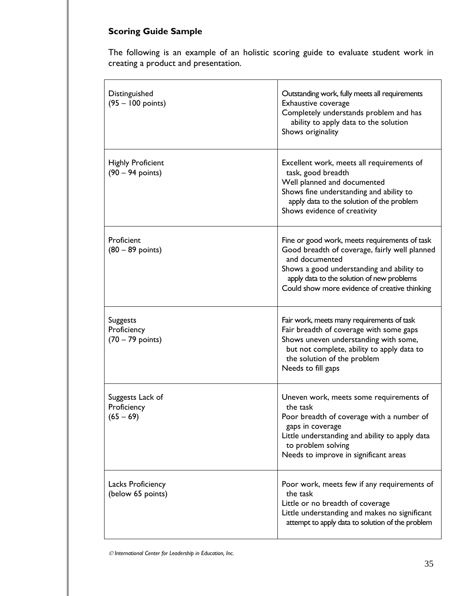## **Scoring Guide Sample**

The following is an example of an holistic scoring guide to evaluate student work in creating a product and presentation.

| Distinguished<br>$(95 - 100$ points)                         | Outstanding work, fully meets all requirements<br>Exhaustive coverage<br>Completely understands problem and has<br>ability to apply data to the solution<br>Shows originality                                                                                |
|--------------------------------------------------------------|--------------------------------------------------------------------------------------------------------------------------------------------------------------------------------------------------------------------------------------------------------------|
| <b>Highly Proficient</b><br>$(90 - 94$ points)               | Excellent work, meets all requirements of<br>task, good breadth<br>Well planned and documented<br>Shows fine understanding and ability to<br>apply data to the solution of the problem<br>Shows evidence of creativity                                       |
| Proficient<br>$(80 - 89 \text{ points})$                     | Fine or good work, meets requirements of task<br>Good breadth of coverage, fairly well planned<br>and documented<br>Shows a good understanding and ability to<br>apply data to the solution of new problems<br>Could show more evidence of creative thinking |
| <b>Suggests</b><br>Proficiency<br>$(70 - 79 \text{ points})$ | Fair work, meets many requirements of task<br>Fair breadth of coverage with some gaps<br>Shows uneven understanding with some,<br>but not complete, ability to apply data to<br>the solution of the problem<br>Needs to fill gaps                            |
| Suggests Lack of<br>Proficiency<br>$(65 - 69)$               | Uneven work, meets some requirements of<br>the task<br>Poor breadth of coverage with a number of<br>gaps in coverage<br>Little understanding and ability to apply data<br>to problem solving<br>Needs to improve in significant areas                        |
| Lacks Proficiency<br>(below 65 points)                       | Poor work, meets few if any requirements of<br>the task<br>Little or no breadth of coverage<br>Little understanding and makes no significant<br>attempt to apply data to solution of the problem                                                             |

 $O$  International Center for Leadership in Education, Inc.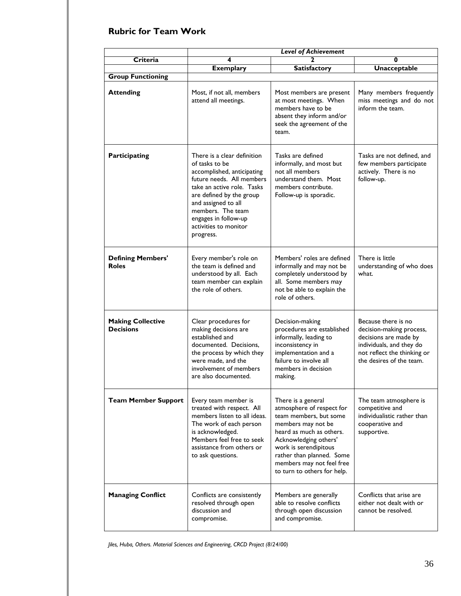#### **Rubric for Team Work**

|                                              | <b>Level of Achievement</b>                                                                                                                                                                                                                                                  |                                                                                                                                                                                                                                                                        |                                                                                                                                                                 |  |
|----------------------------------------------|------------------------------------------------------------------------------------------------------------------------------------------------------------------------------------------------------------------------------------------------------------------------------|------------------------------------------------------------------------------------------------------------------------------------------------------------------------------------------------------------------------------------------------------------------------|-----------------------------------------------------------------------------------------------------------------------------------------------------------------|--|
| Criteria                                     | 4                                                                                                                                                                                                                                                                            | 2                                                                                                                                                                                                                                                                      | 0                                                                                                                                                               |  |
|                                              | <b>Exemplary</b>                                                                                                                                                                                                                                                             | <b>Satisfactory</b>                                                                                                                                                                                                                                                    | <b>Unacceptable</b>                                                                                                                                             |  |
| <b>Group Functioning</b>                     |                                                                                                                                                                                                                                                                              |                                                                                                                                                                                                                                                                        |                                                                                                                                                                 |  |
| <b>Attending</b>                             | Most, if not all, members<br>attend all meetings.                                                                                                                                                                                                                            | Most members are present<br>at most meetings. When<br>members have to be<br>absent they inform and/or<br>seek the agreement of the<br>team.                                                                                                                            | Many members frequently<br>miss meetings and do not<br>inform the team.                                                                                         |  |
| <b>Participating</b>                         | There is a clear definition<br>of tasks to be<br>accomplished, anticipating<br>future needs. All members<br>take an active role. Tasks<br>are defined by the group<br>and assigned to all<br>members. The team<br>engages in follow-up<br>activities to monitor<br>progress. | Tasks are defined<br>informally, and most but<br>not all members<br>understand them. Most<br>members contribute.<br>Follow-up is sporadic.                                                                                                                             | Tasks are not defined, and<br>few members participate<br>actively. There is no<br>follow-up.                                                                    |  |
| <b>Defining Members'</b><br><b>Roles</b>     | Every member's role on<br>the team is defined and<br>understood by all. Each<br>team member can explain<br>the role of others.                                                                                                                                               | Members' roles are defined<br>informally and may not be<br>completely understood by<br>all. Some members may<br>not be able to explain the<br>role of others.                                                                                                          | There is little<br>understanding of who does<br>what.                                                                                                           |  |
| <b>Making Collective</b><br><b>Decisions</b> | Clear procedures for<br>making decisions are<br>established and<br>documented. Decisions,<br>the process by which they<br>were made, and the<br>involvement of members<br>are also documented.                                                                               | Decision-making<br>procedures are established<br>informally, leading to<br>inconsistency in<br>implementation and a<br>failure to involve all<br>members in decision<br>making.                                                                                        | Because there is no<br>decision-making process,<br>decisions are made by<br>individuals, and they do<br>not reflect the thinking or<br>the desires of the team. |  |
| <b>Team Member Support</b>                   | Every team member is<br>treated with respect. All<br>members listen to all ideas.<br>The work of each person<br>is acknowledged.<br>Members feel free to seek<br>assistance from others or<br>to ask questions.                                                              | There is a general<br>atmosphere of respect for<br>team members, but some<br>members may not be<br>heard as much as others.<br>Acknowledging others'<br>work is serendipitous<br>rather than planned. Some<br>members may not feel free<br>to turn to others for help. | The team atmosphere is<br>competitive and<br>individualistic rather than<br>cooperative and<br>supportive.                                                      |  |
| <b>Managing Conflict</b>                     | Conflicts are consistently<br>resolved through open<br>discussion and<br>compromise.                                                                                                                                                                                         | Members are generally<br>able to resolve conflicts<br>through open discussion<br>and compromise.                                                                                                                                                                       | Conflicts that arise are<br>either not dealt with or<br>cannot be resolved.                                                                                     |  |

*Jiles, Huba, Others. Material Sciences and Engineering, CRCD Project (8/24/00)*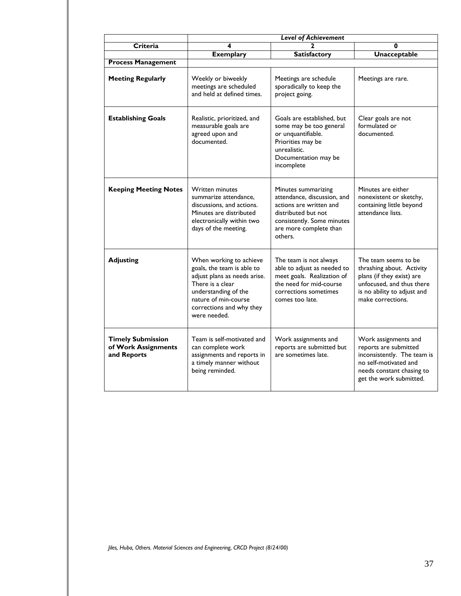|                                                                |                                                                                                                                                                                                       | <b>Level of Achievement</b>                                                                                                                                             |                                                                                                                                                                 |
|----------------------------------------------------------------|-------------------------------------------------------------------------------------------------------------------------------------------------------------------------------------------------------|-------------------------------------------------------------------------------------------------------------------------------------------------------------------------|-----------------------------------------------------------------------------------------------------------------------------------------------------------------|
| Criteria                                                       | 4                                                                                                                                                                                                     |                                                                                                                                                                         | 0                                                                                                                                                               |
|                                                                | <b>Exemplary</b>                                                                                                                                                                                      | <b>Satisfactory</b>                                                                                                                                                     | <b>Unacceptable</b>                                                                                                                                             |
| <b>Process Management</b>                                      |                                                                                                                                                                                                       |                                                                                                                                                                         |                                                                                                                                                                 |
| <b>Meeting Regularly</b>                                       | Weekly or biweekly<br>meetings are scheduled<br>and held at defined times.                                                                                                                            | Meetings are schedule<br>sporadically to keep the<br>project going.                                                                                                     | Meetings are rare.                                                                                                                                              |
| <b>Establishing Goals</b>                                      | Realistic, prioritized, and<br>measurable goals are<br>agreed upon and<br>documented.                                                                                                                 | Goals are established, but<br>some may be too general<br>or unquantifiable.<br>Priorities may be<br>unrealistic.<br>Documentation may be<br>incomplete                  | Clear goals are not<br>formulated or<br>documented.                                                                                                             |
| <b>Keeping Meeting Notes</b>                                   | <b>Written minutes</b><br>summarize attendance,<br>discussions, and actions.<br>Minutes are distributed<br>electronically within two<br>days of the meeting.                                          | Minutes summarizing<br>attendance, discussion, and<br>actions are written and<br>distributed but not<br>consistently. Some minutes<br>are more complete than<br>others. | Minutes are either<br>nonexistent or sketchy,<br>containing little beyond<br>attendance lists.                                                                  |
| <b>Adjusting</b>                                               | When working to achieve<br>goals, the team is able to<br>adjust plans as needs arise.<br>There is a clear<br>understanding of the<br>nature of min-course<br>corrections and why they<br>were needed. | The team is not always<br>able to adjust as needed to<br>meet goals. Realization of<br>the need for mid-course<br>corrections sometimes<br>comes too late.              | The team seems to be<br>thrashing about. Activity<br>plans (if they exist) are<br>unfocused, and thus there<br>is no ability to adjust and<br>make corrections. |
| <b>Timely Submission</b><br>of Work Assignments<br>and Reports | Team is self-motivated and<br>can complete work<br>assignments and reports in<br>a timely manner without<br>being reminded.                                                                           | Work assignments and<br>reports are submitted but<br>are sometimes late.                                                                                                | Work assignments and<br>reports are submitted<br>inconsistently. The team is<br>no self-motivated and<br>needs constant chasing to<br>get the work submitted.   |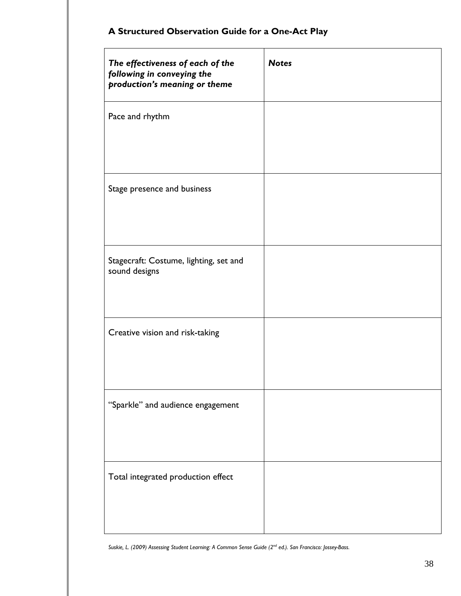|  |  |  | A Structured Observation Guide for a One-Act Play |
|--|--|--|---------------------------------------------------|
|--|--|--|---------------------------------------------------|

| The effectiveness of each of the<br>following in conveying the<br>production's meaning or theme | <b>Notes</b> |
|-------------------------------------------------------------------------------------------------|--------------|
| Pace and rhythm                                                                                 |              |
| Stage presence and business                                                                     |              |
| Stagecraft: Costume, lighting, set and<br>sound designs                                         |              |
| Creative vision and risk-taking                                                                 |              |
| "Sparkle" and audience engagement                                                               |              |
| Total integrated production effect                                                              |              |

*Suskie, L. (2009) Assessing Student Learning: A Common Sense Guide (2nd ed.). San Francisco: Jossey-Bass.*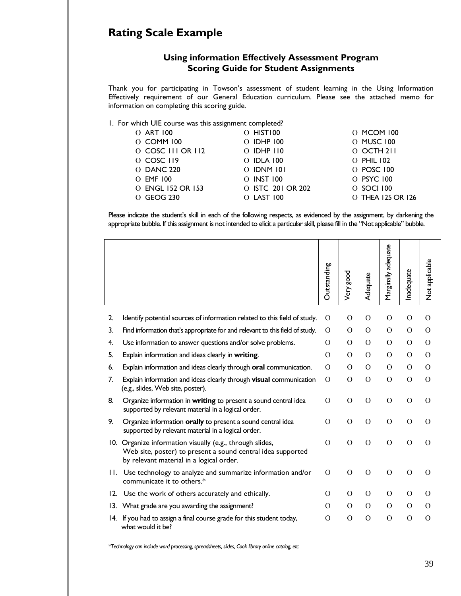### **Rating Scale Example**

#### **Using information Effectively Assessment Program Scoring Guide for Student Assignments**

Thank you for participating in Towson's assessment of student learning in the Using Information Effectively requirement of our General Education curriculum. Please see the attached memo for information on completing this scoring guide.

1. For which UIE course was this assignment completed?

| O ART 100         | O HISTIOO         | 0 MCOM 100        |
|-------------------|-------------------|-------------------|
| 0 COMM 100        | O IDHP 100        | O MUSC 100        |
| O COSC III OR II2 | $O$ IDHP $110$    | 0 OCTH 211        |
| 0 COSC 119        | $O$ IDLA 100      | O PHIL 102        |
| <b>O DANC 220</b> | $O$ IDNM $101$    | O POSC 100        |
| $O$ EMF $100$     | O INST 100        | O PSYC 100        |
| O ENGL 152 OR 153 | O ISTC 201 OR 202 | 0 SOCI 100        |
| O GEOG 230        | $O$ LAST $100$    | O THEA 125 OR 126 |

Please indicate the student's skill in each of the following respects, as evidenced by the assignment, by darkening the appropriate bubble. If this assignment is not intended to elicit a particular skill, please fill in the "Not applicable" bubble.

|     |                                                                                                                                                                 | Outstanding   | <b>Pood</b><br>Very | Adequate       | Marginally adequate | Inadequate    | Not applicable |
|-----|-----------------------------------------------------------------------------------------------------------------------------------------------------------------|---------------|---------------------|----------------|---------------------|---------------|----------------|
| 2.  | Identify potential sources of information related to this field of study.                                                                                       | $\Omega$      | $\Omega$            | $\Omega$       | $\Omega$            | $\Omega$      | $\Omega$       |
| 3.  | Find information that's appropriate for and relevant to this field of study.                                                                                    | $\Omega$      | $\Omega$            | $\Omega$       | $\mathcal{O}$       | $\Omega$      | $\Omega$       |
| 4.  | Use information to answer questions and/or solve problems.                                                                                                      | $\Omega$      | $\Omega$            | $\Omega$       | $\overline{O}$      | $\Omega$      | $\Omega$       |
| 5.  | Explain information and ideas clearly in writing.                                                                                                               | $\Omega$      | $\mathcal{O}$       | $\Omega$       | $\mathcal{O}$       | $\Omega$      | $\Omega$       |
| 6.  | Explain information and ideas clearly through oral communication.                                                                                               | $\Omega$      | $\Omega$            | $\Omega$       | $\mathcal{O}$       | $\Omega$      | $\Omega$       |
| 7.  | Explain information and ideas clearly through visual communication<br>(e.g., slides, Web site, poster).                                                         | $\mathcal{O}$ | $\mathcal{O}$       | $\mathcal{O}$  | $\mathbf O$         | $\mathcal{O}$ | $\mathcal{O}$  |
| 8.  | Organize information in writing to present a sound central idea<br>supported by relevant material in a logical order.                                           | $\Omega$      | $\mathcal{O}$       | $\mathcal{O}$  | $\Omega$            | $\Omega$      | $\Omega$       |
| 9.  | Organize information orally to present a sound central idea<br>supported by relevant material in a logical order.                                               | $\Omega$      | $\mathcal{O}$       | $\Omega$       | $\Omega$            | $\Omega$      | $\Omega$       |
| 10. | Organize information visually (e.g., through slides,<br>Web site, poster) to present a sound central idea supported<br>by relevant material in a logical order. | $\Omega$      | $\Omega$            | $\overline{O}$ | $\mathcal{O}$       | $\Omega$      | $\Omega$       |
| П.  | Use technology to analyze and summarize information and/or<br>communicate it to others.*                                                                        | $\Omega$      | $\Omega$            | $\mathcal{O}$  | $\mathcal{O}$       | $\mathcal{O}$ | $\Omega$       |
| 12. | Use the work of others accurately and ethically.                                                                                                                | $\Omega$      | $\Omega$            | $\Omega$       | $\mathcal{O}$       | $\Omega$      | $\Omega$       |
| 13. | What grade are you awarding the assignment?                                                                                                                     | $\Omega$      | $\Omega$            | $\Omega$       | $\Omega$            | $\Omega$      | $\Omega$       |
| 14. | If you had to assign a final course grade for this student today,<br>what would it be?                                                                          | O             | O                   | O              | $\mathcal{O}$       | $\mathbf O$   | $\Omega$       |

*\*Technology can include word processing, spreadsheets, slides, Cook library online catalog, etc.*